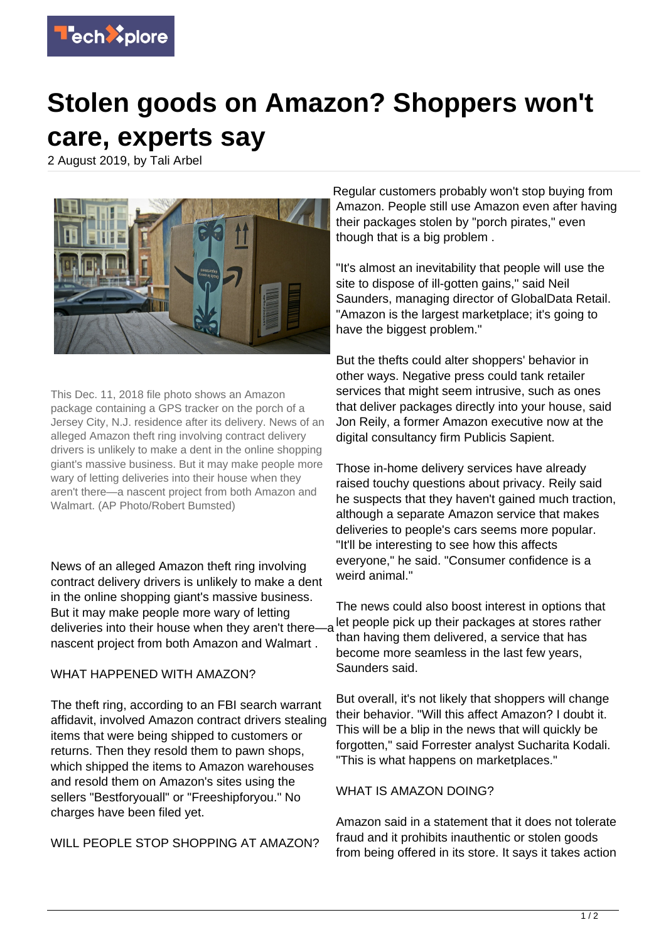

## **Stolen goods on Amazon? Shoppers won't care, experts say**

2 August 2019, by Tali Arbel



This Dec. 11, 2018 file photo shows an Amazon package containing a GPS tracker on the porch of a Jersey City, N.J. residence after its delivery. News of an alleged Amazon theft ring involving contract delivery drivers is unlikely to make a dent in the online shopping giant's massive business. But it may make people more wary of letting deliveries into their house when they aren't there—a nascent project from both Amazon and Walmart. (AP Photo/Robert Bumsted)

News of an alleged Amazon theft ring involving contract delivery drivers is unlikely to make a dent in the online shopping giant's massive business. But it may make people more wary of letting deliveries into their house when they aren't there—a nascent project from both Amazon and Walmart .

## WHAT HAPPENED WITH AMAZON?

The theft ring, according to an FBI search warrant affidavit, involved Amazon contract drivers stealing items that were being shipped to customers or returns. Then they resold them to pawn shops, which shipped the items to Amazon warehouses and resold them on Amazon's sites using the sellers "Bestforyouall" or "Freeshipforyou." No charges have been filed yet.

WILL PEOPLE STOP SHOPPING AT AMAZON?

Regular customers probably won't stop buying from Amazon. People still use Amazon even after having their packages stolen by "porch pirates," even though that is a big problem .

"It's almost an inevitability that people will use the site to dispose of ill-gotten gains," said Neil Saunders, managing director of GlobalData Retail. "Amazon is the largest marketplace; it's going to have the biggest problem."

But the thefts could alter shoppers' behavior in other ways. Negative press could tank retailer services that might seem intrusive, such as ones that deliver packages directly into your house, said Jon Reily, a former Amazon executive now at the digital consultancy firm Publicis Sapient.

Those in-home delivery services have already raised touchy questions about privacy. Reily said he suspects that they haven't gained much traction, although a separate Amazon service that makes deliveries to people's cars seems more popular. "It'll be interesting to see how this affects everyone," he said. "Consumer confidence is a weird animal."

The news could also boost interest in options that let people pick up their packages at stores rather than having them delivered, a service that has become more seamless in the last few years, Saunders said.

But overall, it's not likely that shoppers will change their behavior. "Will this affect Amazon? I doubt it. This will be a blip in the news that will quickly be forgotten," said Forrester analyst Sucharita Kodali. "This is what happens on marketplaces."

## WHAT IS AMAZON DOING?

Amazon said in a statement that it does not tolerate fraud and it prohibits inauthentic or stolen goods from being offered in its store. It says it takes action